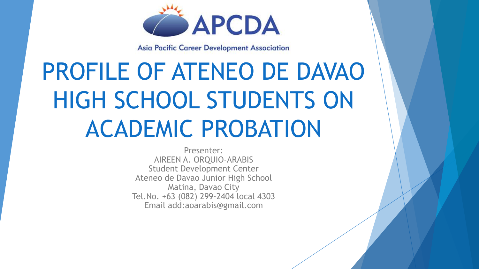

**Asia Pacific Career Development Association** 

# PROFILE OF ATENEO DE DAVAO HIGH SCHOOL STUDENTS ON ACADEMIC PROBATION

Presenter: AIREEN A. ORQUIO-ARABIS Student Development Center Ateneo de Davao Junior High School Matina, Davao City Tel.No. +63 (082) 299-2404 local 4303 Email add:aoarabis@gmail.com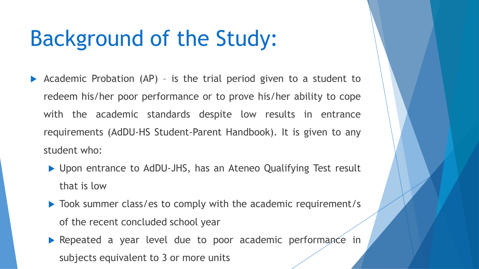## Background of the Study:

- Academic Probation (AP) is the trial period given to a student to redeem his/her poor performance or to prove his/her ability to cope with the academic standards despite low results in entrance requirements (AdDU-HS Student-Parent Handbook). It is given to any student who:
	- ▶ Upon entrance to AdDU-JHS, has an Ateneo Qualifying Test result that is low
	- ▶ Took summer class/es to comply with the academic requirement/s of the recent concluded school year
	- **Repeated a year level due to poor academic performance in** subjects equivalent to 3 or more units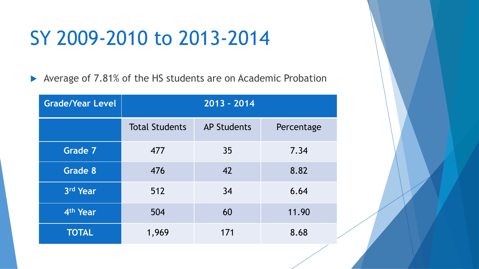### SY 2009-2010 to 2013-2014

▶ Average of 7.81% of the HS students are on Academic Probation

| <b>Grade/Year Level</b> | $2013 - 2014$         |                    |            |
|-------------------------|-----------------------|--------------------|------------|
|                         | <b>Total Students</b> | <b>AP Students</b> | Percentage |
| <b>Grade 7</b>          | 477                   | 35                 | 7.34       |
| Grade 8                 | 476                   | 42                 | 8.82       |
| 3rd Year                | 512                   | 34                 | 6.64       |
| 4 <sup>th</sup> Year    | 504                   | 60                 | 11.90      |
| <b>TOTAL</b>            | 1,969                 | 171                | 8.68       |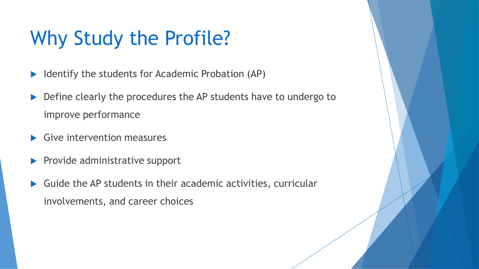## Why Study the Profile?

- $\blacktriangleright$  Identify the students for Academic Probation (AP)
- Define clearly the procedures the AP students have to undergo to improve performance
- Give intervention measures
- $\blacktriangleright$  Provide administrative support
- Guide the AP students in their academic activities, curricular involvements, and career choices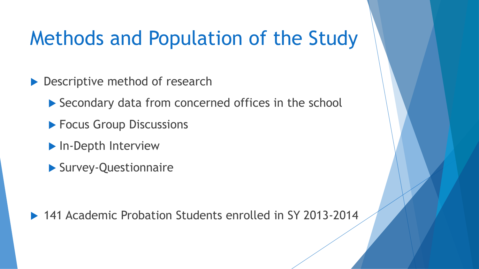### Methods and Population of the Study

▶ Descriptive method of research

▶ Secondary data from concerned offices in the school

- **Focus Group Discussions**
- **In-Depth Interview**
- Survey-Questionnaire

▶ 141 Academic Probation Students enrolled in SY 2013-2014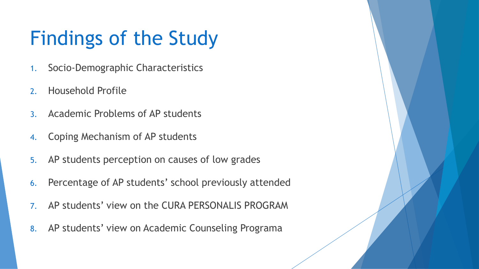## Findings of the Study

- 1. Socio-Demographic Characteristics
- 2. Household Profile
- 3. Academic Problems of AP students
- 4. Coping Mechanism of AP students
- 5. AP students perception on causes of low grades
- 6. Percentage of AP students' school previously attended
- 7. AP students' view on the CURA PERSONALIS PROGRAM
- 8. AP students' view on Academic Counseling Programa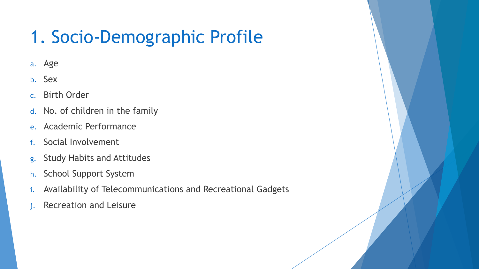#### 1. Socio-Demographic Profile

- a. Age
- b. Sex
- c. Birth Order
- d. No. of children in the family
- e. Academic Performance
- f. Social Involvement
- g. Study Habits and Attitudes
- h. School Support System
- i. Availability of Telecommunications and Recreational Gadgets
- Recreation and Leisure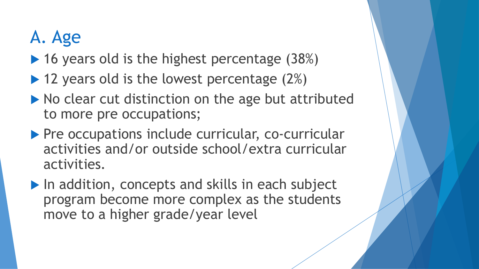#### A. Age

- $\blacktriangleright$  16 years old is the highest percentage (38%)
- $\blacktriangleright$  12 years old is the lowest percentage (2%)
- $\blacktriangleright$  No clear cut distinction on the age but attributed to more pre occupations;
- **Pre occupations include curricular, co-curricular** activities and/or outside school/extra curricular activities.
- In addition, concepts and skills in each subject program become more complex as the students move to a higher grade/year level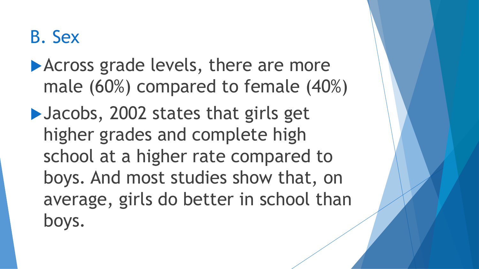#### B. Sex

#### **Across grade levels, there are more** male (60%) compared to female (40%)

▶ Jacobs, 2002 states that girls get higher grades and complete high school at a higher rate compared to boys. And most studies show that, on average, girls do better in school than boys.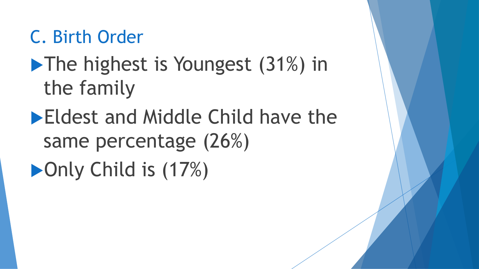#### C. Birth Order

## **The highest is Youngest (31%) in** the family

## **Eldest and Middle Child have the** same percentage (26%) ▶ Only Child is (17%)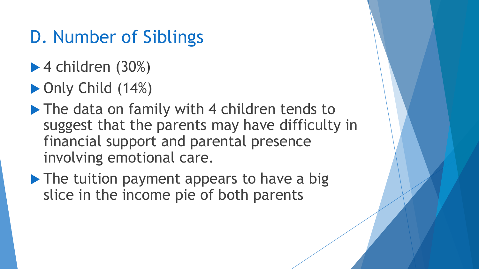#### D. Number of Siblings

- $\blacktriangleright$  4 children (30%)
- ▶ Only Child (14%)
- The data on family with 4 children tends to suggest that the parents may have difficulty in financial support and parental presence involving emotional care.
- The tuition payment appears to have a big slice in the income pie of both parents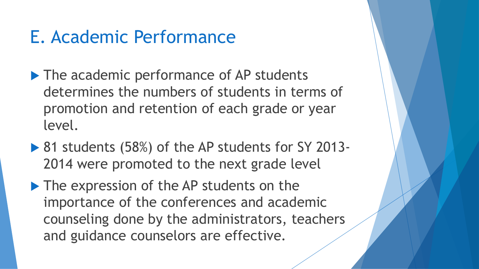#### E. Academic Performance

- The academic performance of AP students determines the numbers of students in terms of promotion and retention of each grade or year level.
- ▶ 81 students (58%) of the AP students for SY 2013-2014 were promoted to the next grade level
- The expression of the AP students on the importance of the conferences and academic counseling done by the administrators, teachers and guidance counselors are effective.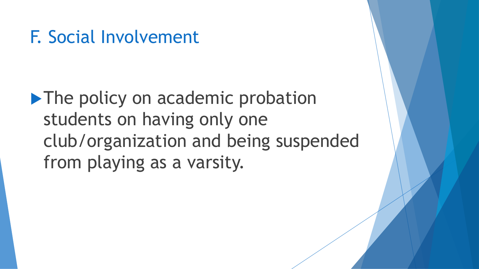#### F. Social Involvement

**The policy on academic probation** students on having only one club/organization and being suspended from playing as a varsity.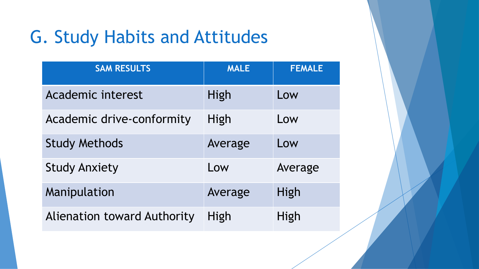#### G. Study Habits and Attitudes

| <b>SAM RESULTS</b>                 | <b>MALE</b> | <b>FEMALE</b> |
|------------------------------------|-------------|---------------|
| <b>Academic interest</b>           | High        | Low           |
| Academic drive-conformity          | High        | Low           |
| <b>Study Methods</b>               | Average     | Low           |
| <b>Study Anxiety</b>               | Low         | Average       |
| Manipulation                       | Average     | High          |
| <b>Alienation toward Authority</b> | High        | High          |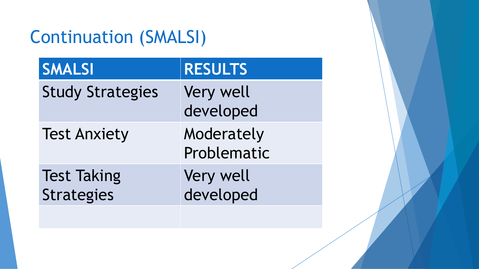#### Continuation (SMALSI)

| <b>SMALSI</b>                           | <b>RESULTS</b>            |
|-----------------------------------------|---------------------------|
| <b>Study Strategies</b>                 | Very well<br>developed    |
| <b>Test Anxiety</b>                     | Moderately<br>Problematic |
| <b>Test Taking</b><br><b>Strategies</b> | Very well<br>developed    |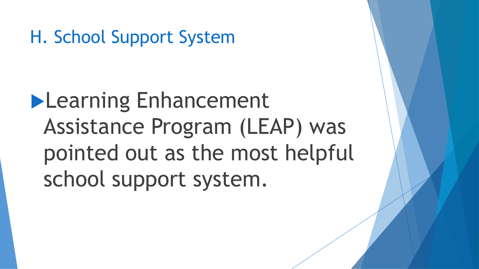H. School Support System

**Learning Enhancement** Assistance Program (LEAP) was pointed out as the most helpful school support system.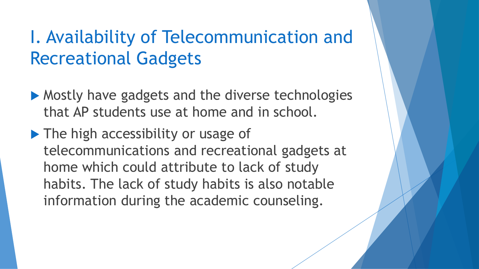#### I. Availability of Telecommunication and Recreational Gadgets

- Mostly have gadgets and the diverse technologies that AP students use at home and in school.
- The high accessibility or usage of telecommunications and recreational gadgets at home which could attribute to lack of study habits. The lack of study habits is also notable information during the academic counseling.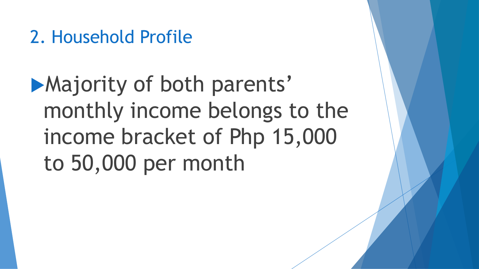#### 2. Household Profile

**Majority of both parents'** monthly income belongs to the income bracket of Php 15,000 to 50,000 per month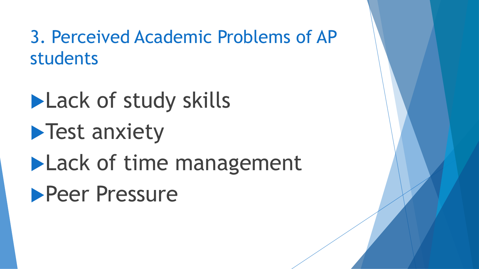3. Perceived Academic Problems of AP students

**Lack of study skills Test anxiety Lack of time management Peer Pressure**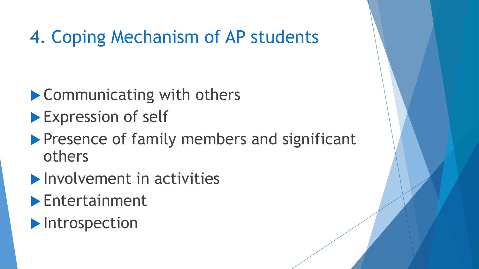#### 4. Coping Mechanism of AP students

- ▶ Communicating with others
- Expression of self
- **Presence of family members and significant** others
- **Involvement in activities**
- Entertainment
- $\blacktriangleright$  Introspection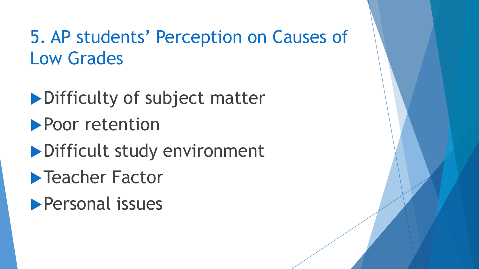#### 5. AP students' Perception on Causes of Low Grades

Difficulty of subject matter **Poor retention** Difficult study environment **Teacher Factor Personal issues**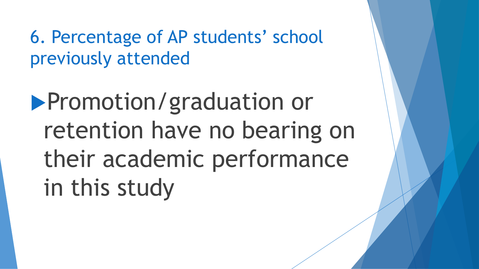6. Percentage of AP students' school previously attended

**Promotion/graduation or** retention have no bearing on their academic performance in this study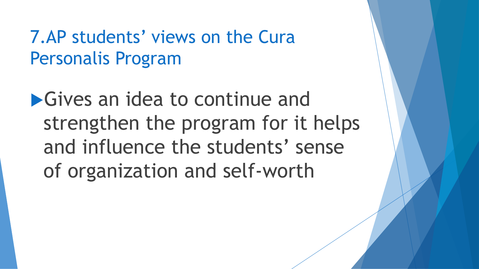7.AP students' views on the Cura Personalis Program

**S** Gives an idea to continue and strengthen the program for it helps and influence the students' sense of organization and self-worth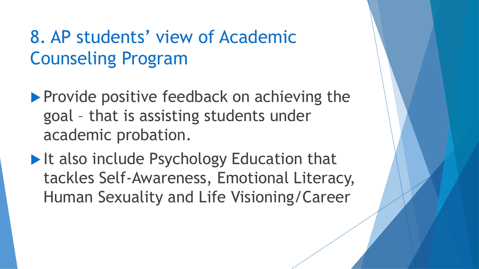#### 8. AP students' view of Academic Counseling Program

- $\blacktriangleright$  Provide positive feedback on achieving the goal – that is assisting students under academic probation.
- It also include Psychology Education that tackles Self-Awareness, Emotional Literacy, Human Sexuality and Life Visioning/Career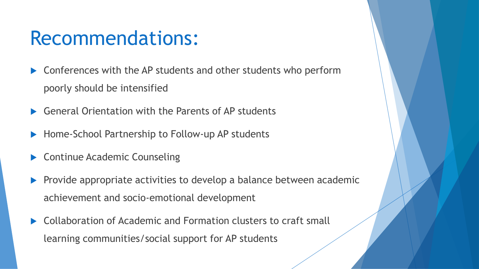#### Recommendations:

- Conferences with the AP students and other students who perform poorly should be intensified
- General Orientation with the Parents of AP students
- ▶ Home-School Partnership to Follow-up AP students
- Continue Academic Counseling
- $\blacktriangleright$  Provide appropriate activities to develop a balance between academic achievement and socio-emotional development
- Collaboration of Academic and Formation clusters to craft small learning communities/social support for AP students